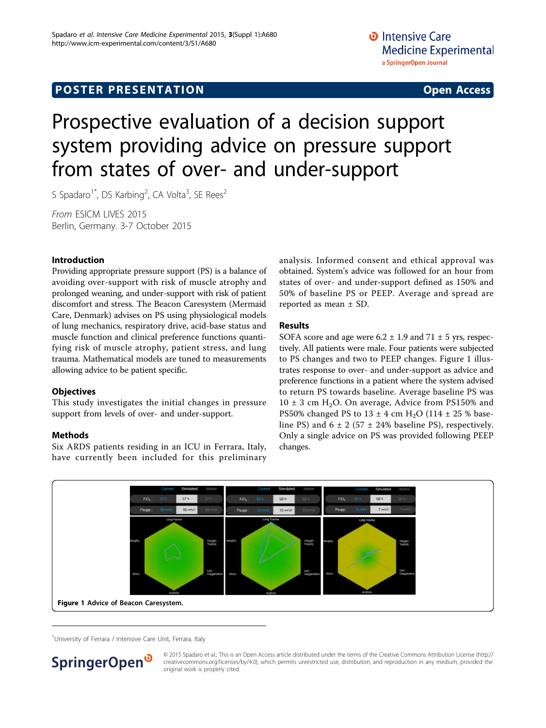# Prospective evaluation of a decision support system providing advice on pressure support from states of over- and under-support

S Spadaro<sup>1\*</sup>, DS Karbing<sup>2</sup>, CA Volta<sup>3</sup>, SE Rees<sup>2</sup>

From ESICM LIVES 2015 Berlin, Germany. 3-7 October 2015

## Introduction

Providing appropriate pressure support (PS) is a balance of avoiding over-support with risk of muscle atrophy and prolonged weaning, and under-support with risk of patient discomfort and stress. The Beacon Caresystem (Mermaid Care, Denmark) advises on PS using physiological models of lung mechanics, respiratory drive, acid-base status and muscle function and clinical preference functions quantifying risk of muscle atrophy, patient stress, and lung trauma. Mathematical models are tuned to measurements allowing advice to be patient specific.

#### **Objectives**

This study investigates the initial changes in pressure support from levels of over- and under-support.

# Methods

Six ARDS patients residing in an ICU in Ferrara, Italy, have currently been included for this preliminary analysis. Informed consent and ethical approval was obtained. System's advice was followed for an hour from states of over- and under-support defined as 150% and 50% of baseline PS or PEEP. Average and spread are reported as mean ± SD.

## Results

SOFA score and age were  $6.2 \pm 1.9$  and  $71 \pm 5$  yrs, respectively. All patients were male. Four patients were subjected to PS changes and two to PEEP changes. Figure 1 illustrates response to over- and under-support as advice and preference functions in a patient where the system advised to return PS towards baseline. Average baseline PS was  $10 \pm 3$  cm H<sub>2</sub>O. On average, Advice from PS150% and PS50% changed PS to  $13 \pm 4$  cm H<sub>2</sub>O (114  $\pm$  25 % baseline PS) and  $6 \pm 2$  (57  $\pm$  24% baseline PS), respectively. Only a single advice on PS was provided following PEEP changes.



<sup>1</sup>University of Ferrara / Intensive Care Unit, Ferrara, Italy



© 2015 Spadaro et al.; This is an Open Access article distributed under the terms of the Creative Commons Attribution License [\(http://](http://creativecommons.org/licenses/by/4.0) [creativecommons.org/licenses/by/4.0](http://creativecommons.org/licenses/by/4.0)), which permits unrestricted use, distribution, and reproduction in any medium, provided the original work is properly cited.